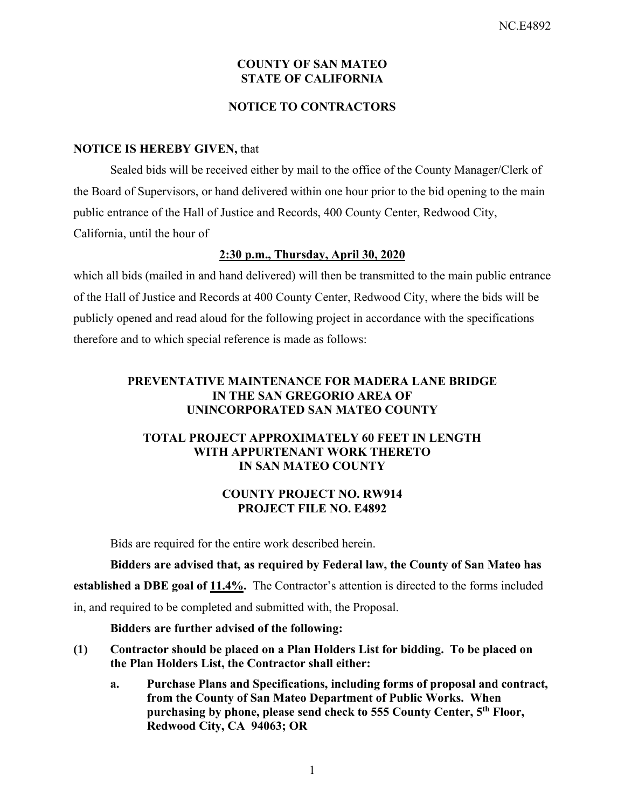### **COUNTY OF SAN MATEO STATE OF CALIFORNIA**

### **NOTICE TO CONTRACTORS**

### **NOTICE IS HEREBY GIVEN,** that

Sealed bids will be received either by mail to the office of the County Manager/Clerk of the Board of Supervisors, or hand delivered within one hour prior to the bid opening to the main public entrance of the Hall of Justice and Records, 400 County Center, Redwood City, California, until the hour of

### **2:30 p.m., Thursday, April 30, 2020**

which all bids (mailed in and hand delivered) will then be transmitted to the main public entrance of the Hall of Justice and Records at 400 County Center, Redwood City, where the bids will be publicly opened and read aloud for the following project in accordance with the specifications therefore and to which special reference is made as follows:

### **PREVENTATIVE MAINTENANCE FOR MADERA LANE BRIDGE IN THE SAN GREGORIO AREA OF UNINCORPORATED SAN MATEO COUNTY**

### **TOTAL PROJECT APPROXIMATELY 60 FEET IN LENGTH WITH APPURTENANT WORK THERETO IN SAN MATEO COUNTY**

### **COUNTY PROJECT NO. RW914 PROJECT FILE NO. E4892**

Bids are required for the entire work described herein.

**Bidders are advised that, as required by Federal law, the County of San Mateo has**  established a DBE goal of  $11.4\%$ . The Contractor's attention is directed to the forms included in, and required to be completed and submitted with, the Proposal.

#### **Bidders are further advised of the following:**

- **(1) Contractor should be placed on a Plan Holders List for bidding. To be placed on the Plan Holders List, the Contractor shall either:** 
	- **a. Purchase Plans and Specifications, including forms of proposal and contract, from the County of San Mateo Department of Public Works. When purchasing by phone, please send check to 555 County Center, 5th Floor, Redwood City, CA 94063; OR**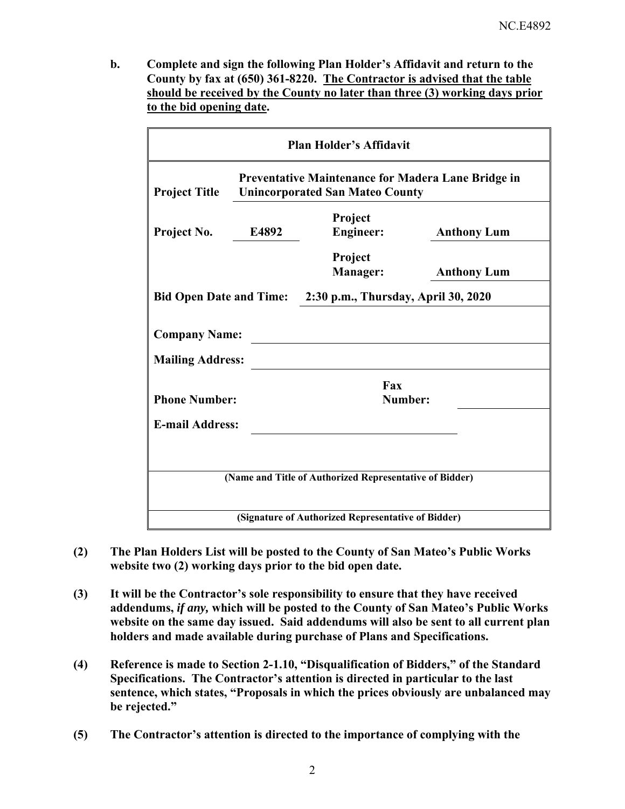**b. Complete and sign the following Plan Holder's Affidavit and return to the County by fax at (650) 361-8220. The Contractor is advised that the table should be received by the County no later than three (3) working days prior to the bid opening date.**

| <b>Plan Holder's Affidavit</b>                                                                                       |       |                             |                    |  |  |
|----------------------------------------------------------------------------------------------------------------------|-------|-----------------------------|--------------------|--|--|
| Preventative Maintenance for Madera Lane Bridge in<br><b>Project Title</b><br><b>Unincorporated San Mateo County</b> |       |                             |                    |  |  |
| Project No.                                                                                                          | E4892 | Project<br><b>Engineer:</b> | <b>Anthony Lum</b> |  |  |
|                                                                                                                      |       | Project<br><b>Manager:</b>  | <b>Anthony Lum</b> |  |  |
| 2:30 p.m., Thursday, April 30, 2020<br><b>Bid Open Date and Time:</b>                                                |       |                             |                    |  |  |
| <b>Company Name:</b>                                                                                                 |       |                             |                    |  |  |
| <b>Mailing Address:</b>                                                                                              |       |                             |                    |  |  |
| <b>Phone Number:</b>                                                                                                 |       | Fax<br>Number:              |                    |  |  |
| <b>E-mail Address:</b>                                                                                               |       |                             |                    |  |  |
|                                                                                                                      |       |                             |                    |  |  |
| (Name and Title of Authorized Representative of Bidder)                                                              |       |                             |                    |  |  |
| (Signature of Authorized Representative of Bidder)                                                                   |       |                             |                    |  |  |

- **(2) The Plan Holders List will be posted to the County of San Mateo's Public Works website two (2) working days prior to the bid open date.**
- **(3) It will be the Contractor's sole responsibility to ensure that they have received addendums,** *if any,* **which will be posted to the County of San Mateo's Public Works website on the same day issued. Said addendums will also be sent to all current plan holders and made available during purchase of Plans and Specifications.**
- **(4) Reference is made to Section 2-1.10, "Disqualification of Bidders," of the Standard Specifications. The Contractor's attention is directed in particular to the last sentence, which states, "Proposals in which the prices obviously are unbalanced may be rejected."**
- **(5) The Contractor's attention is directed to the importance of complying with the**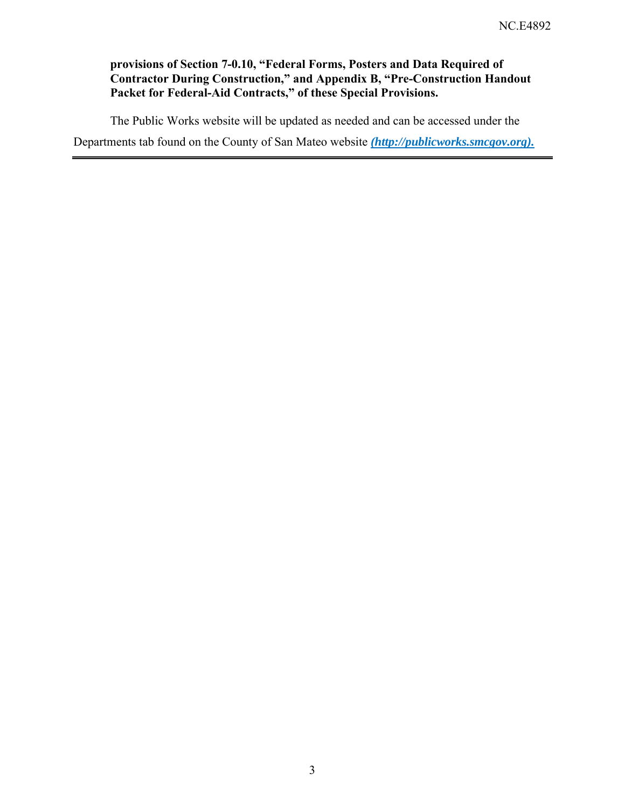## **provisions of Section 7-0.10, "Federal Forms, Posters and Data Required of Contractor During Construction," and Appendix B, "Pre-Construction Handout Packet for Federal-Aid Contracts," of these Special Provisions.**

The Public Works website will be updated as needed and can be accessed under the Departments tab found on the County of San Mateo website *(http://publicworks.smcgov.org).*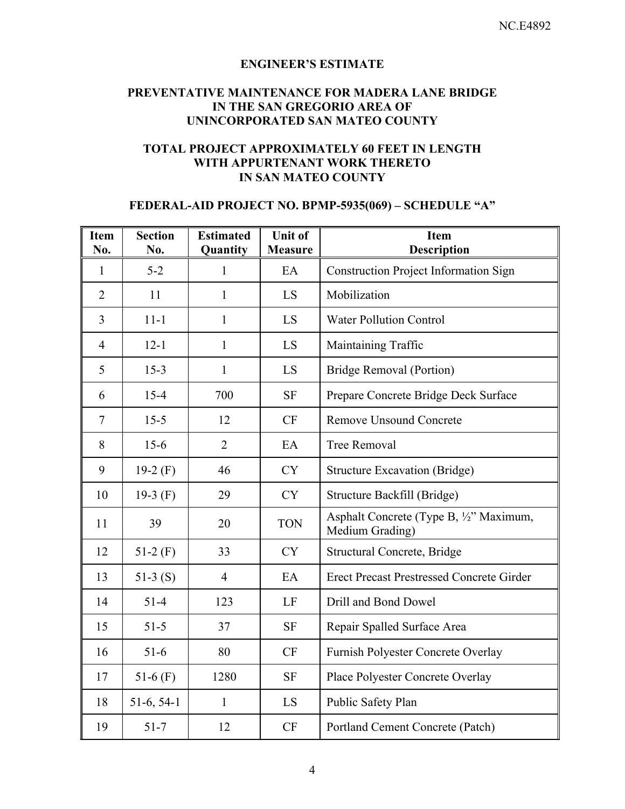### **ENGINEER'S ESTIMATE**

## **PREVENTATIVE MAINTENANCE FOR MADERA LANE BRIDGE IN THE SAN GREGORIO AREA OF UNINCORPORATED SAN MATEO COUNTY**

### **TOTAL PROJECT APPROXIMATELY 60 FEET IN LENGTH WITH APPURTENANT WORK THERETO IN SAN MATEO COUNTY**

## **FEDERAL-AID PROJECT NO. BPMP-5935(069) – SCHEDULE "A"**

| <b>Item</b><br>No. | <b>Section</b><br>No. | <b>Estimated</b><br>Quantity | <b>Unit of</b><br><b>Measure</b> | <b>Item</b><br><b>Description</b>                          |
|--------------------|-----------------------|------------------------------|----------------------------------|------------------------------------------------------------|
| $\mathbf{1}$       | $5 - 2$               | $\mathbf{1}$                 | EA                               | <b>Construction Project Information Sign</b>               |
| $\overline{2}$     | 11                    | 1                            | LS                               | Mobilization                                               |
| 3                  | $11 - 1$              | 1                            | LS                               | <b>Water Pollution Control</b>                             |
| $\overline{4}$     | $12 - 1$              | 1                            | LS                               | Maintaining Traffic                                        |
| 5                  | $15-3$                | $\mathbf{1}$                 | LS                               | Bridge Removal (Portion)                                   |
| 6                  | $15 - 4$              | 700                          | <b>SF</b>                        | Prepare Concrete Bridge Deck Surface                       |
| $\overline{7}$     | $15 - 5$              | 12                           | CF                               | <b>Remove Unsound Concrete</b>                             |
| 8                  | $15-6$                | $\overline{2}$               | EA                               | <b>Tree Removal</b>                                        |
| 9                  | 19-2 $(F)$            | 46                           | <b>CY</b>                        | <b>Structure Excavation (Bridge)</b>                       |
| 10                 | 19-3 $(F)$            | 29                           | <b>CY</b>                        | Structure Backfill (Bridge)                                |
| 11                 | 39                    | 20                           | <b>TON</b>                       | Asphalt Concrete (Type B, 1/2" Maximum,<br>Medium Grading) |
| 12                 | $51-2(F)$             | 33                           | <b>CY</b>                        | Structural Concrete, Bridge                                |
| 13                 | $51-3(S)$             | $\overline{4}$               | EA                               | <b>Erect Precast Prestressed Concrete Girder</b>           |
| 14                 | $51 - 4$              | 123                          | LF                               | Drill and Bond Dowel                                       |
| 15                 | $51 - 5$              | 37                           | <b>SF</b>                        | Repair Spalled Surface Area                                |
| 16                 | $51-6$                | 80                           | CF                               | Furnish Polyester Concrete Overlay                         |
| 17                 | 51-6 $(F)$            | 1280                         | <b>SF</b>                        | Place Polyester Concrete Overlay                           |
| 18                 | $51-6, 54-1$          | $\mathbf{1}$                 | LS                               | Public Safety Plan                                         |
| 19                 | $51 - 7$              | 12                           | CF                               | Portland Cement Concrete (Patch)                           |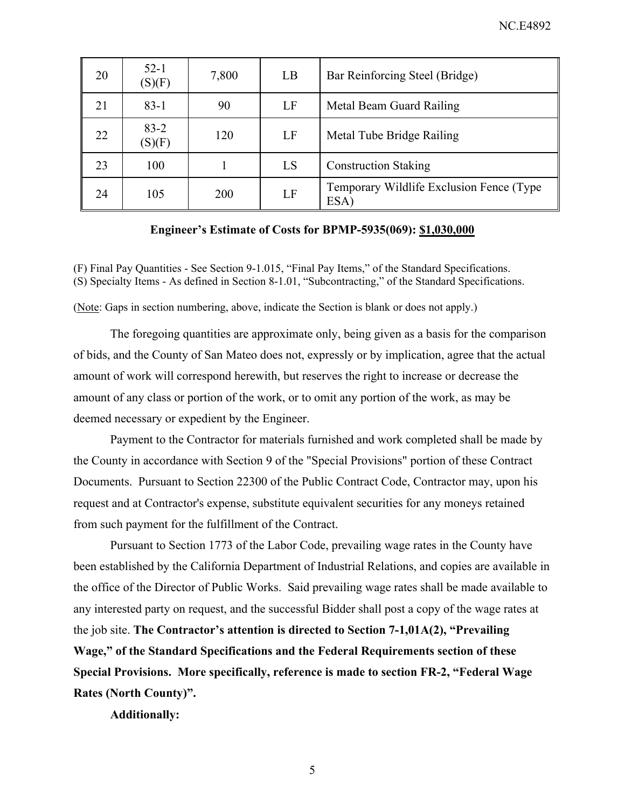| 20 | $52 - 1$<br>(S)(F) | 7,800 | LB | Bar Reinforcing Steel (Bridge)                    |
|----|--------------------|-------|----|---------------------------------------------------|
| 21 | $83-1$             | 90    | LF | Metal Beam Guard Railing                          |
| 22 | $83 - 2$<br>(S)(F) | 120   | LF | Metal Tube Bridge Railing                         |
| 23 | 100                |       | LS | <b>Construction Staking</b>                       |
| 24 | 105                | 200   | LF | Temporary Wildlife Exclusion Fence (Type)<br>ESA) |

#### **Engineer's Estimate of Costs for BPMP-5935(069): \$1,030,000**

(F) Final Pay Quantities - See Section 9-1.015, "Final Pay Items," of the Standard Specifications. (S) Specialty Items - As defined in Section 8-1.01, "Subcontracting," of the Standard Specifications.

(Note: Gaps in section numbering, above, indicate the Section is blank or does not apply.)

The foregoing quantities are approximate only, being given as a basis for the comparison of bids, and the County of San Mateo does not, expressly or by implication, agree that the actual amount of work will correspond herewith, but reserves the right to increase or decrease the amount of any class or portion of the work, or to omit any portion of the work, as may be deemed necessary or expedient by the Engineer.

Payment to the Contractor for materials furnished and work completed shall be made by the County in accordance with Section 9 of the "Special Provisions" portion of these Contract Documents. Pursuant to Section 22300 of the Public Contract Code, Contractor may, upon his request and at Contractor's expense, substitute equivalent securities for any moneys retained from such payment for the fulfillment of the Contract.

Pursuant to Section 1773 of the Labor Code, prevailing wage rates in the County have been established by the California Department of Industrial Relations, and copies are available in the office of the Director of Public Works. Said prevailing wage rates shall be made available to any interested party on request, and the successful Bidder shall post a copy of the wage rates at the job site. **The Contractor's attention is directed to Section 7-1,01A(2), "Prevailing Wage," of the Standard Specifications and the Federal Requirements section of these Special Provisions. More specifically, reference is made to section FR-2, "Federal Wage Rates (North County)".** 

**Additionally:**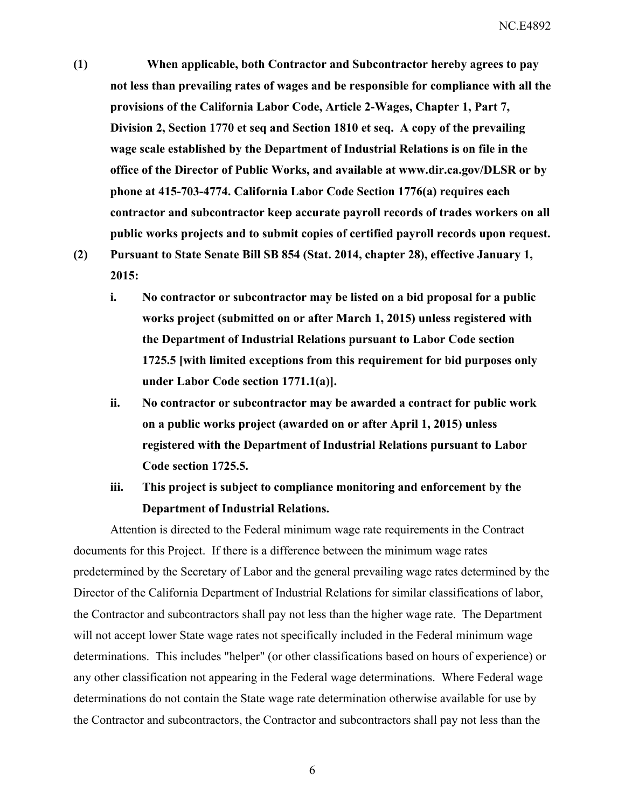**(1) When applicable, both Contractor and Subcontractor hereby agrees to pay not less than prevailing rates of wages and be responsible for compliance with all the provisions of the California Labor Code, Article 2-Wages, Chapter 1, Part 7, Division 2, Section 1770 et seq and Section 1810 et seq. A copy of the prevailing wage scale established by the Department of Industrial Relations is on file in the office of the Director of Public Works, and available at www.dir.ca.gov/DLSR or by phone at 415-703-4774. California Labor Code Section 1776(a) requires each contractor and subcontractor keep accurate payroll records of trades workers on all public works projects and to submit copies of certified payroll records upon request.** 

**(2) Pursuant to State Senate Bill SB 854 (Stat. 2014, chapter 28), effective January 1, 2015:** 

- **i. No contractor or subcontractor may be listed on a bid proposal for a public works project (submitted on or after March 1, 2015) unless registered with the Department of Industrial Relations pursuant to Labor Code section 1725.5 [with limited exceptions from this requirement for bid purposes only under Labor Code section 1771.1(a)].**
- **ii. No contractor or subcontractor may be awarded a contract for public work on a public works project (awarded on or after April 1, 2015) unless registered with the Department of Industrial Relations pursuant to Labor Code section 1725.5.**
- **iii. This project is subject to compliance monitoring and enforcement by the Department of Industrial Relations.**

Attention is directed to the Federal minimum wage rate requirements in the Contract documents for this Project. If there is a difference between the minimum wage rates predetermined by the Secretary of Labor and the general prevailing wage rates determined by the Director of the California Department of Industrial Relations for similar classifications of labor, the Contractor and subcontractors shall pay not less than the higher wage rate. The Department will not accept lower State wage rates not specifically included in the Federal minimum wage determinations. This includes "helper" (or other classifications based on hours of experience) or any other classification not appearing in the Federal wage determinations. Where Federal wage determinations do not contain the State wage rate determination otherwise available for use by the Contractor and subcontractors, the Contractor and subcontractors shall pay not less than the

6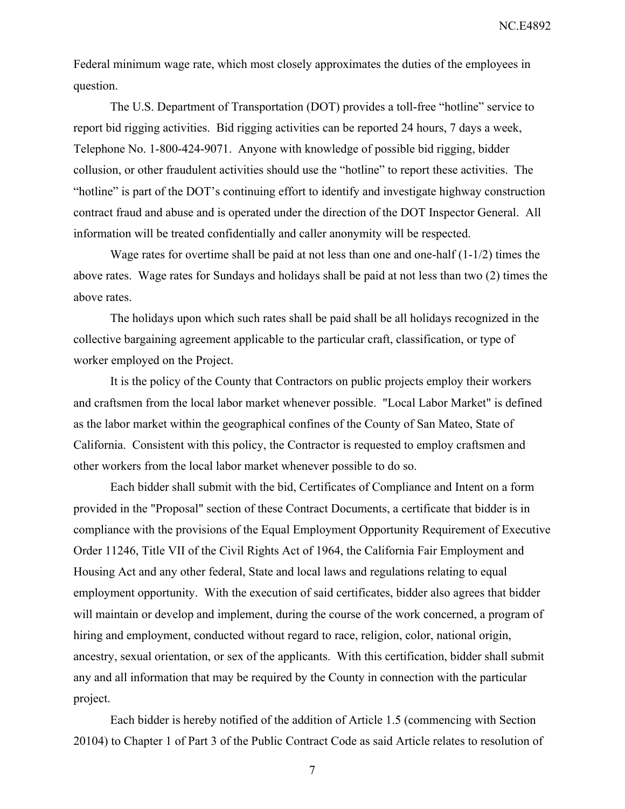NC.E4892

Federal minimum wage rate, which most closely approximates the duties of the employees in question.

The U.S. Department of Transportation (DOT) provides a toll-free "hotline" service to report bid rigging activities. Bid rigging activities can be reported 24 hours, 7 days a week, Telephone No. 1-800-424-9071. Anyone with knowledge of possible bid rigging, bidder collusion, or other fraudulent activities should use the "hotline" to report these activities. The "hotline" is part of the DOT's continuing effort to identify and investigate highway construction contract fraud and abuse and is operated under the direction of the DOT Inspector General. All information will be treated confidentially and caller anonymity will be respected.

Wage rates for overtime shall be paid at not less than one and one-half (1-1/2) times the above rates. Wage rates for Sundays and holidays shall be paid at not less than two (2) times the above rates.

The holidays upon which such rates shall be paid shall be all holidays recognized in the collective bargaining agreement applicable to the particular craft, classification, or type of worker employed on the Project.

It is the policy of the County that Contractors on public projects employ their workers and craftsmen from the local labor market whenever possible. "Local Labor Market" is defined as the labor market within the geographical confines of the County of San Mateo, State of California. Consistent with this policy, the Contractor is requested to employ craftsmen and other workers from the local labor market whenever possible to do so.

Each bidder shall submit with the bid, Certificates of Compliance and Intent on a form provided in the "Proposal" section of these Contract Documents, a certificate that bidder is in compliance with the provisions of the Equal Employment Opportunity Requirement of Executive Order 11246, Title VII of the Civil Rights Act of 1964, the California Fair Employment and Housing Act and any other federal, State and local laws and regulations relating to equal employment opportunity. With the execution of said certificates, bidder also agrees that bidder will maintain or develop and implement, during the course of the work concerned, a program of hiring and employment, conducted without regard to race, religion, color, national origin, ancestry, sexual orientation, or sex of the applicants. With this certification, bidder shall submit any and all information that may be required by the County in connection with the particular project.

Each bidder is hereby notified of the addition of Article 1.5 (commencing with Section 20104) to Chapter 1 of Part 3 of the Public Contract Code as said Article relates to resolution of

7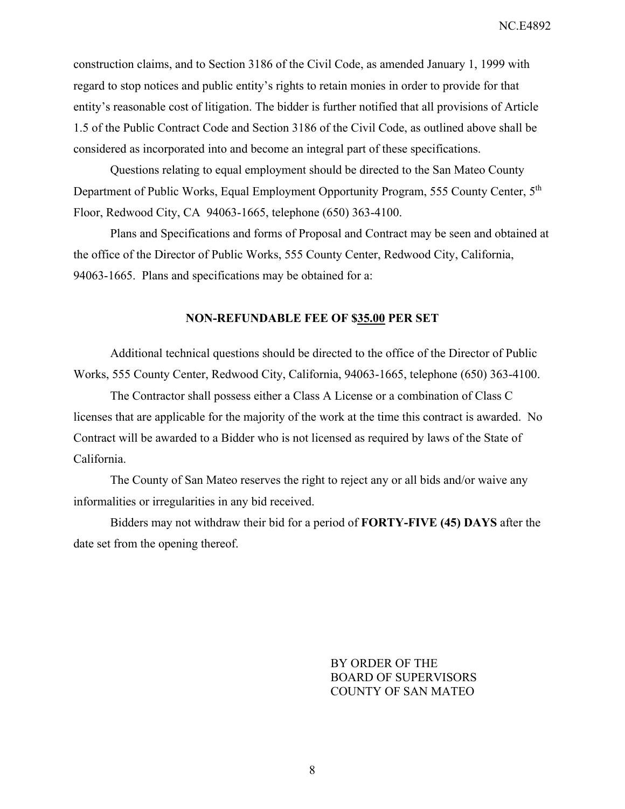construction claims, and to Section 3186 of the Civil Code, as amended January 1, 1999 with regard to stop notices and public entity's rights to retain monies in order to provide for that entity's reasonable cost of litigation. The bidder is further notified that all provisions of Article 1.5 of the Public Contract Code and Section 3186 of the Civil Code, as outlined above shall be considered as incorporated into and become an integral part of these specifications.

Questions relating to equal employment should be directed to the San Mateo County Department of Public Works, Equal Employment Opportunity Program, 555 County Center, 5<sup>th</sup> Floor, Redwood City, CA 94063-1665, telephone (650) 363-4100.

Plans and Specifications and forms of Proposal and Contract may be seen and obtained at the office of the Director of Public Works, 555 County Center, Redwood City, California, 94063-1665. Plans and specifications may be obtained for a:

#### **NON-REFUNDABLE FEE OF \$35.00 PER SET**

Additional technical questions should be directed to the office of the Director of Public Works, 555 County Center, Redwood City, California, 94063-1665, telephone (650) 363-4100.

The Contractor shall possess either a Class A License or a combination of Class C licenses that are applicable for the majority of the work at the time this contract is awarded. No Contract will be awarded to a Bidder who is not licensed as required by laws of the State of California.

The County of San Mateo reserves the right to reject any or all bids and/or waive any informalities or irregularities in any bid received.

Bidders may not withdraw their bid for a period of **FORTY-FIVE (45) DAYS** after the date set from the opening thereof.

> BY ORDER OF THE BOARD OF SUPERVISORS COUNTY OF SAN MATEO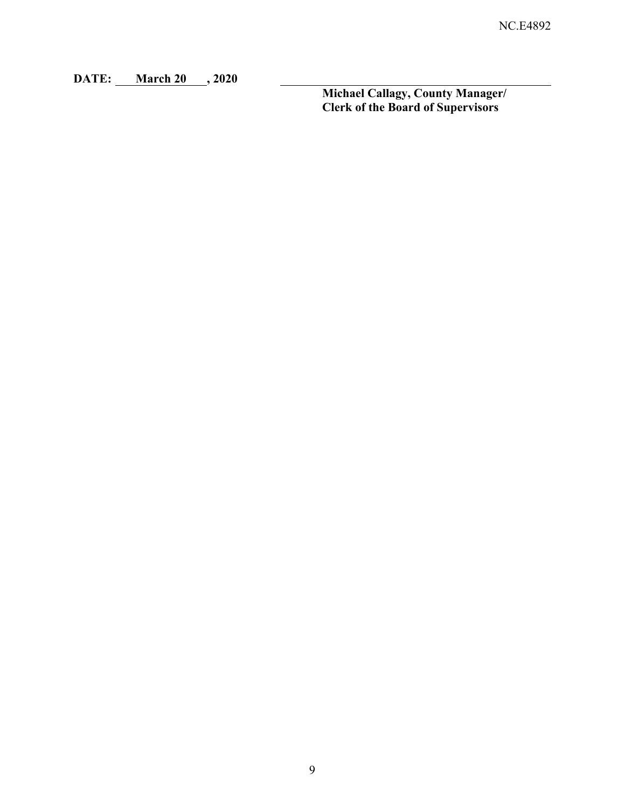**DATE: March 20 , 2020** 

**Michael Callagy, County Manager/ Clerk of the Board of Supervisors**